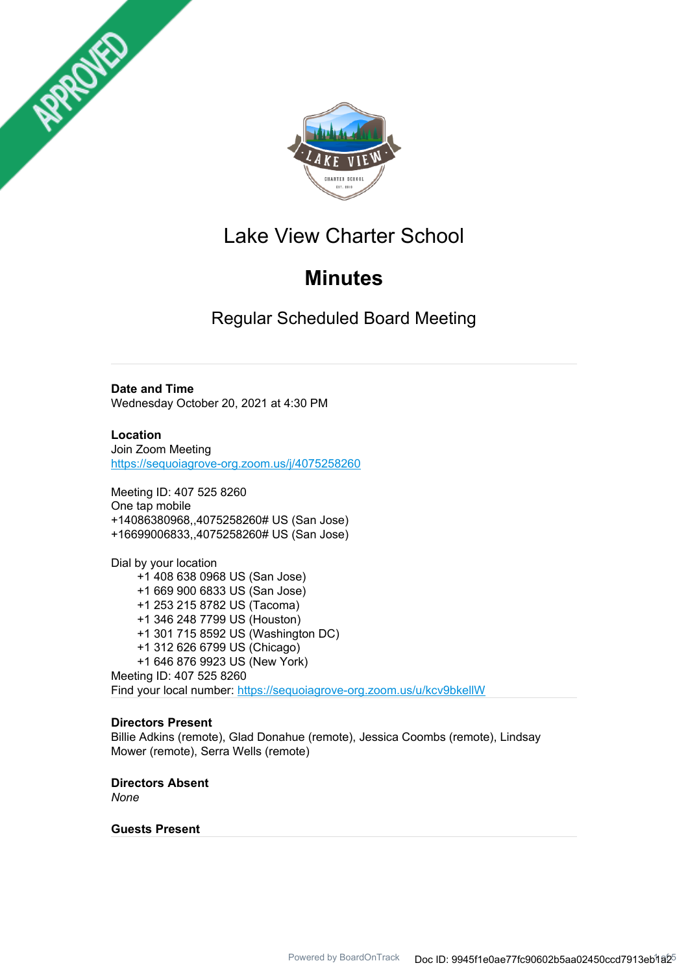



# Lake View Charter School

# **Minutes**

Regular Scheduled Board Meeting

**Date and Time**

Wednesday October 20, 2021 at 4:30 PM

**Location** Join Zoom Meeting https://sequoiagrove-org.zoom.us/j/4075258260

Meeting ID: 407 525 8260 One tap mobile +14086380968,,4075258260# US (San Jose) +16699006833,,4075258260# US (San Jose)

Dial by your location +1 408 638 0968 US (San Jose) +1 669 900 6833 US (San Jose) +1 253 215 8782 US (Tacoma) +1 346 248 7799 US (Houston) +1 301 715 8592 US (Washington DC) +1 312 626 6799 US (Chicago) +1 646 876 9923 US (New York) Meeting ID: 407 525 8260 Find your local number: https://sequoiagrove-org.zoom.us/u/kcv9bkellW

## **Directors Present**

Billie Adkins (remote), Glad Donahue (remote), Jessica Coombs (remote), Lindsay Mower (remote), Serra Wells (remote)

**Directors Absent** *None*

## **Guests Present**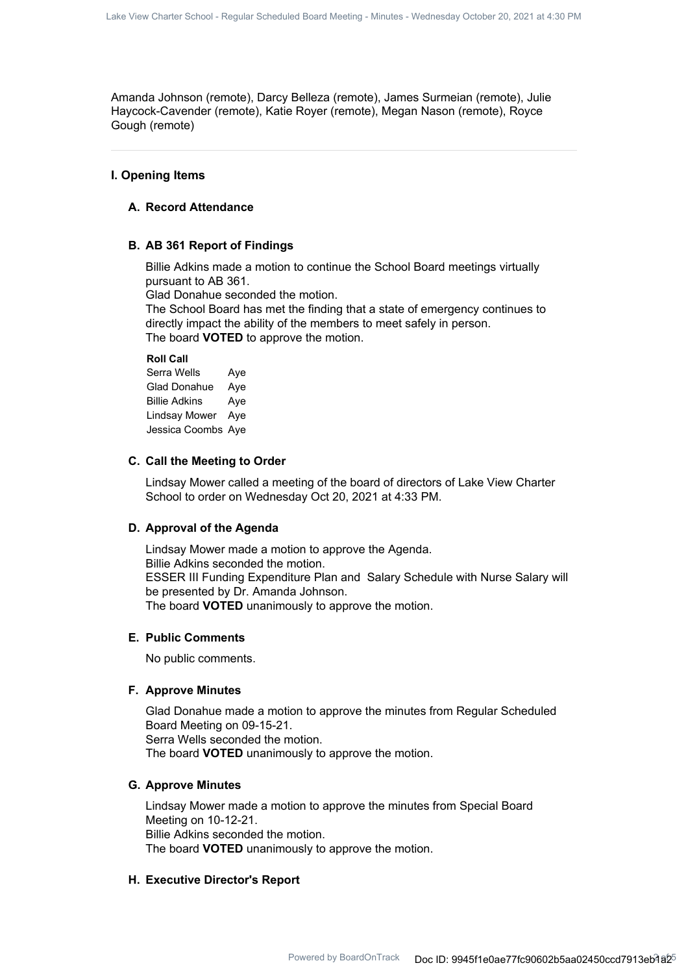Amanda Johnson (remote), Darcy Belleza (remote), James Surmeian (remote), Julie Haycock-Cavender (remote), Katie Royer (remote), Megan Nason (remote), Royce Gough (remote)

## **I. Opening Items**

## **A. Record Attendance**

#### **B. AB 361 Report of Findings**

Billie Adkins made a motion to continue the School Board meetings virtually pursuant to AB 361.

Glad Donahue seconded the motion.

The School Board has met the finding that a state of emergency continues to directly impact the ability of the members to meet safely in person. The board **VOTED** to approve the motion.

#### **Roll Call**

Serra Wells Aye Glad Donahue Aye Billie Adkins Aye Lindsay Mower Aye Jessica Coombs Aye

#### **C. Call the Meeting to Order**

Lindsay Mower called a meeting of the board of directors of Lake View Charter School to order on Wednesday Oct 20, 2021 at 4:33 PM.

## **D. Approval of the Agenda**

Lindsay Mower made a motion to approve the Agenda. Billie Adkins seconded the motion. ESSER III Funding Expenditure Plan and Salary Schedule with Nurse Salary will be presented by Dr. Amanda Johnson. The board **VOTED** unanimously to approve the motion.

#### **E. Public Comments**

No public comments.

#### **F. Approve Minutes**

Glad Donahue made a motion to approve the minutes from Regular Scheduled Board Meeting on 09-15-21. Serra Wells seconded the motion. The board **VOTED** unanimously to approve the motion.

## **G. Approve Minutes**

Lindsay Mower made a motion to approve the minutes from Special Board Meeting on 10-12-21. Billie Adkins seconded the motion. The board **VOTED** unanimously to approve the motion.

## **H. Executive Director's Report**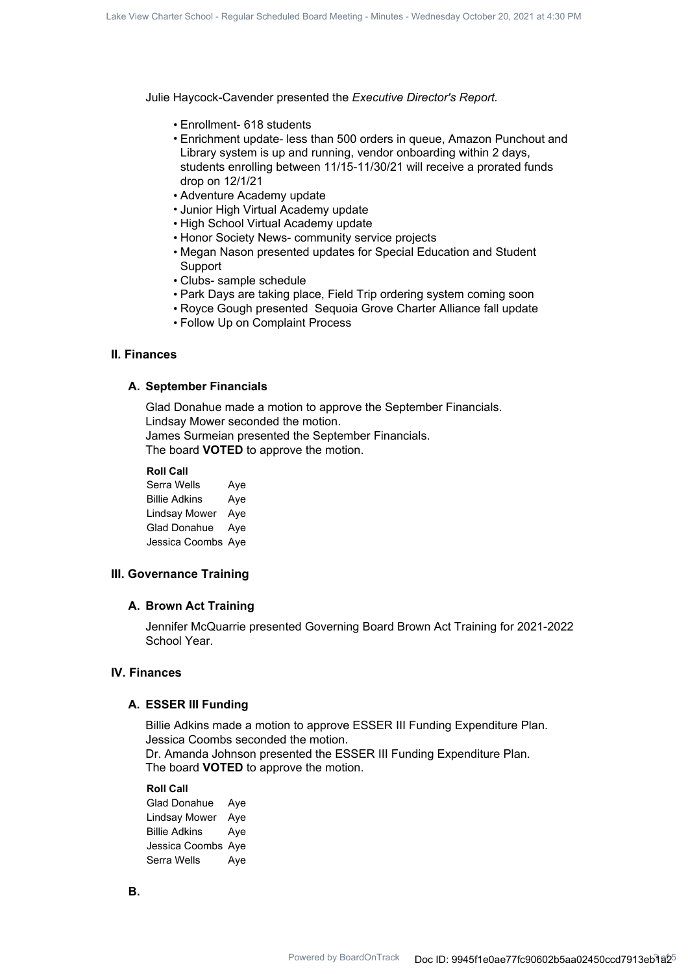Julie Haycock-Cavender presented the *Executive Director's Report.*

- Enrollment- 618 students
- Enrichment update- less than 500 orders in queue, Amazon Punchout and Library system is up and running, vendor onboarding within 2 days, students enrolling between 11/15-11/30/21 will receive a prorated funds drop on 12/1/21
- Adventure Academy update
- Junior High Virtual Academy update
- High School Virtual Academy update
- Honor Society News- community service projects
- Megan Nason presented updates for Special Education and Student Support
- Clubs- sample schedule
- Park Days are taking place, Field Trip ordering system coming soon
- Royce Gough presented Sequoia Grove Charter Alliance fall update
- Follow Up on Complaint Process

## **II. Finances**

### **A. September Financials**

Glad Donahue made a motion to approve the September Financials. Lindsay Mower seconded the motion. James Surmeian presented the September Financials. The board **VOTED** to approve the motion.

#### **Roll Call**

Serra Wells Aye Billie Adkins Aye Lindsay Mower Aye Glad Donahue Aye Jessica Coombs Aye

## **III. Governance Training**

#### **A. Brown Act Training**

Jennifer McQuarrie presented Governing Board Brown Act Training for 2021-2022 School Year.

## **IV. Finances**

#### **A. ESSER III Funding**

Billie Adkins made a motion to approve ESSER III Funding Expenditure Plan. Jessica Coombs seconded the motion. Dr. Amanda Johnson presented the ESSER III Funding Expenditure Plan. The board **VOTED** to approve the motion.

#### **Roll Call**

Glad Donahue Aye Lindsay Mower Aye Billie Adkins Aye Jessica Coombs Aye Serra Wells Aye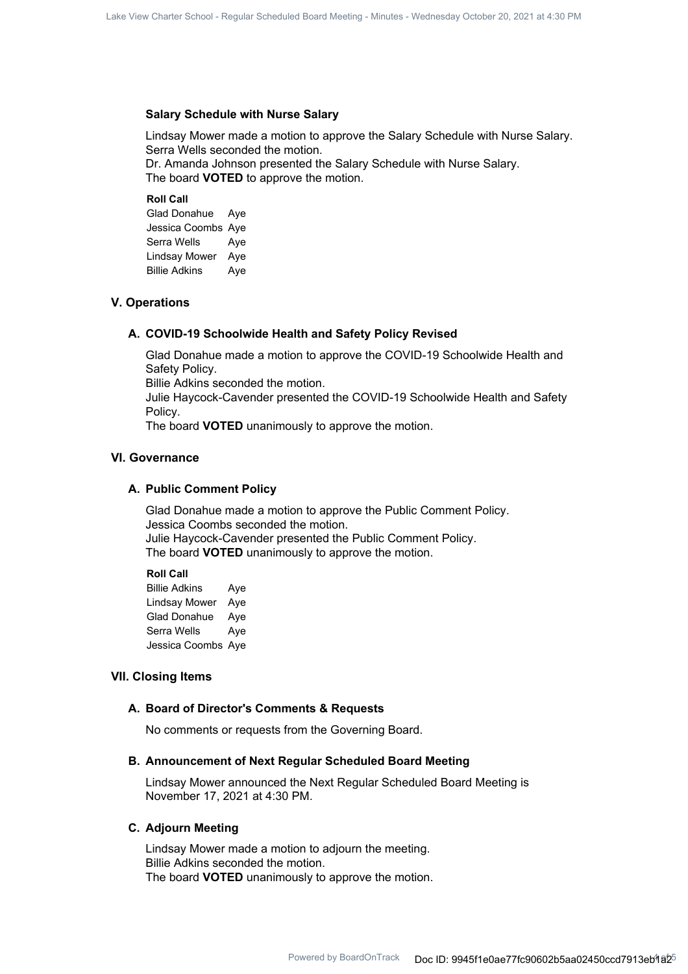### **Salary Schedule with Nurse Salary**

Lindsay Mower made a motion to approve the Salary Schedule with Nurse Salary. Serra Wells seconded the motion. Dr. Amanda Johnson presented the Salary Schedule with Nurse Salary. The board **VOTED** to approve the motion.

**Roll Call**

Glad Donahue Aye Jessica Coombs Aye Serra Wells Aye Lindsay Mower Aye Billie Adkins Aye

#### **V. Operations**

#### **A. COVID-19 Schoolwide Health and Safety Policy Revised**

Glad Donahue made a motion to approve the COVID-19 Schoolwide Health and Safety Policy.

Billie Adkins seconded the motion.

Julie Haycock-Cavender presented the COVID-19 Schoolwide Health and Safety Policy.

The board **VOTED** unanimously to approve the motion.

#### **VI. Governance**

#### **A. Public Comment Policy**

Glad Donahue made a motion to approve the Public Comment Policy. Jessica Coombs seconded the motion. Julie Haycock-Cavender presented the Public Comment Policy. The board **VOTED** unanimously to approve the motion.

**Roll Call**

Billie Adkins Aye Lindsay Mower Aye Glad Donahue Aye Serra Wells Aye Jessica Coombs Aye

## **VII. Closing Items**

#### **A. Board of Director's Comments & Requests**

No comments or requests from the Governing Board.

#### **B. Announcement of Next Regular Scheduled Board Meeting**

Lindsay Mower announced the Next Regular Scheduled Board Meeting is November 17, 2021 at 4:30 PM.

#### **C. Adjourn Meeting**

Lindsay Mower made a motion to adjourn the meeting. Billie Adkins seconded the motion. The board **VOTED** unanimously to approve the motion.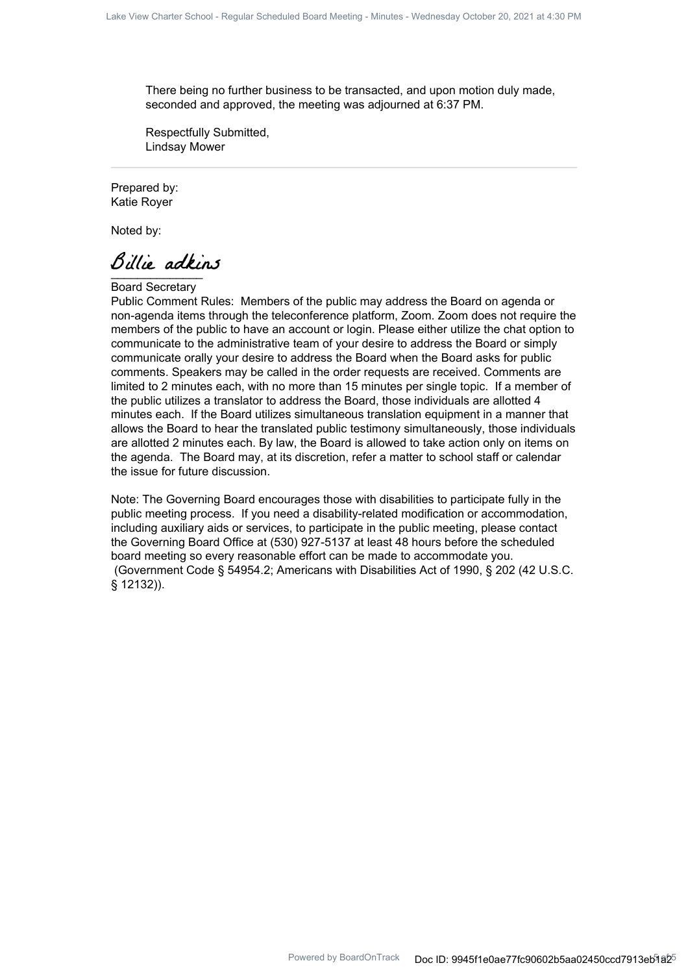There being no further business to be transacted, and upon motion duly made, seconded and approved, the meeting was adjourned at 6:37 PM.

Respectfully Submitted, Lindsay Mower

Prepared by: Katie Royer

Noted by:

Billie adkins

Board Secretary

Public Comment Rules: Members of the public may address the Board on agenda or non-agenda items through the teleconference platform, Zoom. Zoom does not require the members of the public to have an account or login. Please either utilize the chat option to communicate to the administrative team of your desire to address the Board or simply communicate orally your desire to address the Board when the Board asks for public comments. Speakers may be called in the order requests are received. Comments are limited to 2 minutes each, with no more than 15 minutes per single topic. If a member of the public utilizes a translator to address the Board, those individuals are allotted 4 minutes each. If the Board utilizes simultaneous translation equipment in a manner that allows the Board to hear the translated public testimony simultaneously, those individuals are allotted 2 minutes each. By law, the Board is allowed to take action only on items on the agenda. The Board may, at its discretion, refer a matter to school staff or calendar the issue for future discussion.

Note: The Governing Board encourages those with disabilities to participate fully in the public meeting process. If you need a disability-related modification or accommodation, including auxiliary aids or services, to participate in the public meeting, please contact the Governing Board Office at (530) 927-5137 at least 48 hours before the scheduled board meeting so every reasonable effort can be made to accommodate you. (Government Code § 54954.2; Americans with Disabilities Act of 1990, § 202 (42 U.S.C. § 12132)).